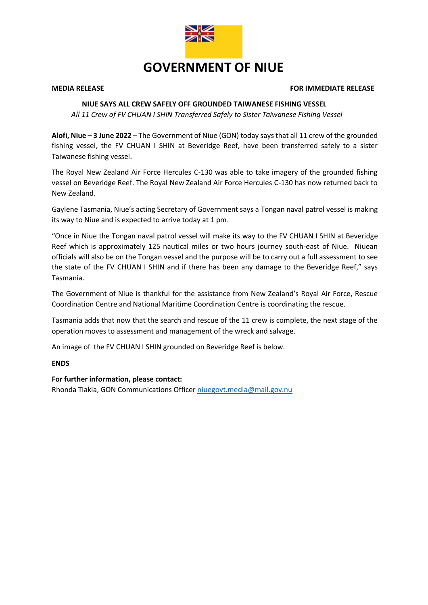

# **GOVERNMENT OF NIUE**

#### **MEDIA RELEASE FOR IMMEDIATE RELEASE**

## **NIUE SAYS ALL CREW SAFELY OFF GROUNDED TAIWANESE FISHING VESSEL**

 *All 11 Crew of FV CHUAN I SHIN Transferred Safely to Sister Taiwanese Fishing Vessel* 

**Alofi, Niue – 3 June 2022** – The Government of Niue (GON) today says that all 11 crew of the grounded fishing vessel, the FV CHUAN I SHIN at Beveridge Reef, have been transferred safely to a sister Taiwanese fishing vessel.

The Royal New Zealand Air Force Hercules C-130 was able to take imagery of the grounded fishing vessel on Beveridge Reef. The Royal New Zealand Air Force Hercules C-130 has now returned back to New Zealand.

Gaylene Tasmania, Niue's acting Secretary of Government says a Tongan naval patrol vessel is making its way to Niue and is expected to arrive today at 1 pm.

"Once in Niue the Tongan naval patrol vessel will make its way to the FV CHUAN I SHIN at Beveridge Reef which is approximately 125 nautical miles or two hours journey south-east of Niue. Niuean officials will also be on the Tongan vessel and the purpose will be to carry out a full assessment to see the state of the FV CHUAN I SHIN and if there has been any damage to the Beveridge Reef," says Tasmania.

The Government of Niue is thankful for the assistance from New Zealand's Royal Air Force, Rescue Coordination Centre and National Maritime Coordination Centre is coordinating the rescue.

Tasmania adds that now that the search and rescue of the 11 crew is complete, the next stage of the operation moves to assessment and management of the wreck and salvage.

An image of the FV CHUAN I SHIN grounded on Beveridge Reef is below.

**ENDS**

### **For further information, please contact:**

Rhonda Tiakia, GON Communications Office[r niuegovt.media@mail.gov.nu](mailto:niuegovt.media@mail.gov.nu)